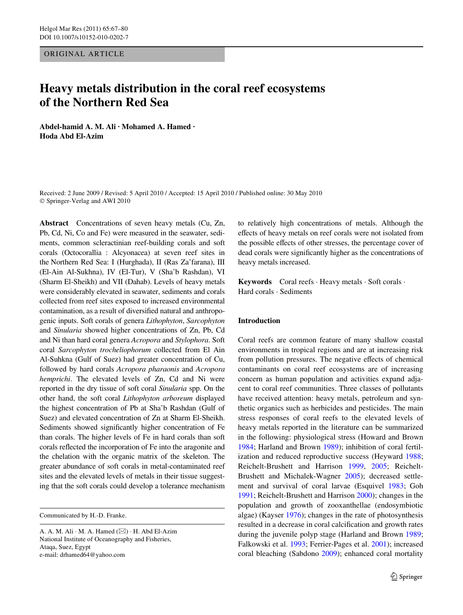ORIGINAL ARTICLE

# **Heavy metals distribution in the coral reef ecosystems of the Northern Red Sea**

**Abdel-hamid A. M. Ali · Mohamed A. Hamed · Hoda Abd El-Azim** 

Received: 2 June 2009 / Revised: 5 April 2010 / Accepted: 15 April 2010 / Published online: 30 May 2010 © Springer-Verlag and AWI 2010

**Abstract** Concentrations of seven heavy metals (Cu, Zn, Pb, Cd, Ni, Co and Fe) were measured in the seawater, sediments, common scleractinian reef-building corals and soft corals (Octocorallia : Alcyonacea) at seven reef sites in the Northern Red Sea: I (Hurghada), II (Ras Za'farana), III (El-Ain Al-Sukhna), IV (El-Tur), V (Sha'b Rashdan), VI (Sharm El-Sheikh) and VII (Dahab). Levels of heavy metals were considerably elevated in seawater, sediments and corals collected from reef sites exposed to increased environmental contamination, as a result of diversified natural and anthropogenic inputs. Soft corals of genera *Lithophyton*, *Sarcophyton* and *Sinularia* showed higher concentrations of Zn, Pb, Cd and Ni than hard coral genera *Acropora* and *Stylophora*. Soft coral *Sarcophyton trocheliophorum* collected from El Ain Al-Suhkna (Gulf of Suez) had greater concentration of Cu, followed by hard corals *Acropora pharaonis* and *Acropora hemprichi*. The elevated levels of Zn, Cd and Ni were reported in the dry tissue of soft coral *Sinularia* spp. On the other hand, the soft coral *Lithophyton arboreum* displayed the highest concentration of Pb at Sha'b Rashdan (Gulf of Suez) and elevated concentration of Zn at Sharm El-Sheikh. Sediments showed significantly higher concentration of Fe than corals. The higher levels of Fe in hard corals than soft corals reflected the incorporation of Fe into the aragonite and the chelation with the organic matrix of the skeleton. The greater abundance of soft corals in metal-contaminated reef sites and the elevated levels of metals in their tissue suggesting that the soft corals could develop a tolerance mechanism

Communicated by H.-D. Franke.

to relatively high concentrations of metals. Although the effects of heavy metals on reef corals were not isolated from the possible effects of other stresses, the percentage cover of dead corals were significantly higher as the concentrations of heavy metals increased.

**Keywords** Coral reefs · Heavy metals · Soft corals · Hard corals · Sediments

## **Introduction**

Coral reefs are common feature of many shallow coastal environments in tropical regions and are at increasing risk from pollution pressures. The negative effects of chemical contaminants on coral reef ecosystems are of increasing concern as human population and activities expand adjacent to coral reef communities. Three classes of pollutants have received attention: heavy metals, petroleum and synthetic organics such as herbicides and pesticides. The main stress responses of coral reefs to the elevated levels of heavy metals reported in the literature can be summarized in the following: physiological stress (Howard and Brown [1984](#page-13-0); Harland and Brown [1989](#page-13-1)); inhibition of coral fertilization and reduced reproductive success (Heyward [1988;](#page-13-2) Reichelt-Brushett and Harrison [1999,](#page-13-3) [2005;](#page-13-4) Reichelt-Brushett and Michalek-Wagner [2005](#page-13-5)); decreased settlement and survival of coral larvae (Esquivel [1983](#page-12-0); Goh [1991](#page-13-6); Reichelt-Brushett and Harrison [2000\)](#page-13-7); changes in the population and growth of zooxanthellae (endosymbiotic algae) (Kayser [1976](#page-13-8)); changes in the rate of photosynthesis resulted in a decrease in coral calcification and growth rates during the juvenile polyp stage (Harland and Brown [1989;](#page-13-1) Falkowski et al. [1993;](#page-12-1) Ferrier-Pages et al. [2001\)](#page-12-2); increased coral bleaching (Sabdono [2009\)](#page-13-9); enhanced coral mortality

A. A. M. Ali  $\cdot$  M. A. Hamed ( $\boxtimes$ )  $\cdot$  H. Abd El-Azim National Institute of Oceanography and Fisheries, Ataqa, Suez, Egypt e-mail: drhamed64@yahoo.com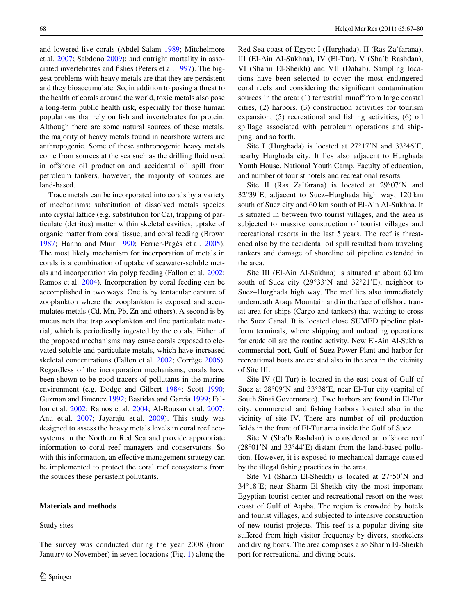and lowered live corals (Abdel-Salam [1989;](#page-12-3) Mitchelmore et al. [2007](#page-13-10); Sabdono [2009](#page-13-9)); and outright mortality in asso-ciated invertebrates and fishes (Peters et al. [1997](#page-13-11)). The biggest problems with heavy metals are that they are persistent and they bioaccumulate. So, in addition to posing a threat to the health of corals around the world, toxic metals also pose a long-term public health risk, especially for those human populations that rely on fish and invertebrates for protein. Although there are some natural sources of these metals, the majority of heavy metals found in nearshore waters are anthropogenic. Some of these anthropogenic heavy metals come from sources at the sea such as the drilling fluid used in offshore oil production and accidental oil spill from petroleum tankers, however, the majority of sources are land-based.

Trace metals can be incorporated into corals by a variety of mechanisms: substitution of dissolved metals species into crystal lattice (e.g. substitution for Ca), trapping of particulate (detritus) matter within skeletal cavities, uptake of organic matter from coral tissue, and coral feeding (Brown [1987](#page-12-4); Hanna and Muir [1990](#page-13-12); Ferrier-Pagès et al. [2005](#page-13-13)). The most likely mechanism for incorporation of metals in corals is a combination of uptake of seawater-soluble metals and incorporation via polyp feeding (Fallon et al. [2002](#page-12-5); Ramos et al. [2004](#page-13-14)). Incorporation by coral feeding can be accomplished in two ways. One is by tentacular capture of zooplankton where the zooplankton is exposed and accumulates metals (Cd, Mn, Pb, Zn and others). A second is by mucus nets that trap zooplankton and fine particulate material, which is periodically ingested by the corals. Either of the proposed mechanisms may cause corals exposed to elevated soluble and particulate metals, which have increased skeletal concentrations (Fallon et al. [2002;](#page-12-5) Corrège [2006](#page-12-6)). Regardless of the incorporation mechanisms, corals have been shown to be good tracers of pollutants in the marine environment (e.g. Dodge and Gilbert [1984](#page-12-7); Scott [1990](#page-13-15); Guzman and Jimenez [1992;](#page-13-16) Bastidas and Garcia [1999;](#page-12-8) Fallon et al. [2002](#page-12-5); Ramos et al. [2004](#page-13-14); Al-Rousan et al. [2007](#page-12-9); Anu et al. [2007;](#page-12-10) Jayaraju et al. [2009](#page-13-17)). This study was designed to assess the heavy metals levels in coral reef ecosystems in the Northern Red Sea and provide appropriate information to coral reef managers and conservators. So with this information, an effective management strategy can be implemented to protect the coral reef ecosystems from the sources these persistent pollutants.

### **Materials and methods**

Study sites

The survey was conducted during the year 2008 (from January to November) in seven locations (Fig. [1\)](#page-2-0) along the Red Sea coast of Egypt: I (Hurghada), II (Ras Za'farana), III (El-Ain Al-Sukhna), IV (El-Tur), V (Sha'b Rashdan), VI (Sharm El-Sheikh) and VII (Dahab). Sampling locations have been selected to cover the most endangered coral reefs and considering the significant contamination sources in the area:  $(1)$  terrestrial runoff from large coastal cities, (2) harbors, (3) construction activities for tourism expansion,  $(5)$  recreational and fishing activities,  $(6)$  oil spillage associated with petroleum operations and shipping, and so forth.

Site I (Hurghada) is located at  $27^{\circ}17'N$  and  $33^{\circ}46'E$ , nearby Hurghada city. It lies also adjacent to Hurghada Youth House, National Youth Camp, Faculty of education, and number of tourist hotels and recreational resorts.

Site II (Ras Za'farana) is located at  $29^{\circ}07'N$  and 32°39'E, adjacent to Suez-Hurghada high way, 120 km south of Suez city and 60 km south of El-Ain Al-Sukhna. It is situated in between two tourist villages, and the area is subjected to massive construction of tourist villages and recreational resorts in the last 5 years. The reef is threatened also by the accidental oil spill resulted from traveling tankers and damage of shoreline oil pipeline extended in the area.

Site III (El-Ain Al-Sukhna) is situated at about 60 km south of Suez city  $(29°33'N$  and  $32°21'E)$ , neighbor to Suez–Hurghada high way. The reef lies also immediately underneath Ataqa Mountain and in the face of offshore transit area for ships (Cargo and tankers) that waiting to cross the Suez Canal. It is located close SUMED pipeline platform terminals, where shipping and unloading operations for crude oil are the routine activity. New El-Ain Al-Sukhna commercial port, Gulf of Suez Power Plant and harbor for recreational boats are existed also in the area in the vicinity of Site III.

Site IV (El-Tur) is located in the east coast of Gulf of Suez at 28°09'N and 33°38'E, near El-Tur city (capital of South Sinai Governorate). Two harbors are found in El-Tur city, commercial and fishing harbors located also in the vicinity of site IV. There are number of oil production fields in the front of El-Tur area inside the Gulf of Suez.

Site V (Sha'b Rashdan) is considered an offshore reef  $(28°01'N$  and  $33°44'E)$  distant from the land-based pollution. However, it is exposed to mechanical damage caused by the illegal fishing practices in the area.

Site VI (Sharm El-Sheikh) is located at  $27^{\circ}50'$ N and 34°18'E; near Sharm El-Sheikh city the most important Egyptian tourist center and recreational resort on the west coast of Gulf of Aqaba. The region is crowded by hotels and tourist villages, and subjected to intensive construction of new tourist projects. This reef is a popular diving site suffered from high visitor frequency by divers, snorkelers and diving boats. The area comprises also Sharm El-Sheikh port for recreational and diving boats.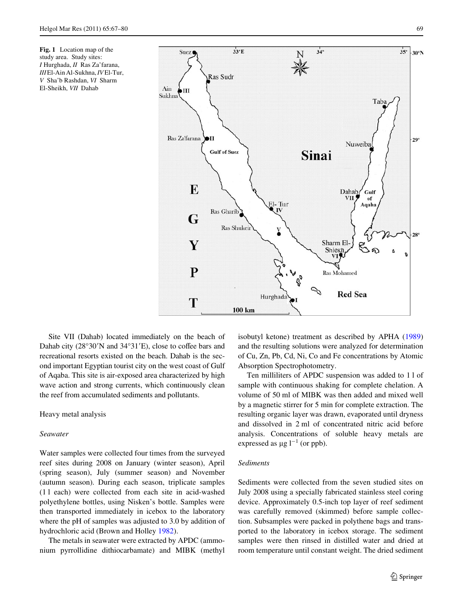<span id="page-2-0"></span>**Fig. 1** Location map of the study area. Study sites: *I* Hurghada, *II* Ras Za'farana, *III* El-Ain Al-Sukhna, *IV* El-Tur, *V* Sha'b Rashdan, *VI* Sharm El-Sheikh, *VII* Dahab



Site VII (Dahab) located immediately on the beach of Dahab city (28°30'N and 34°31'E), close to coffee bars and recreational resorts existed on the beach. Dahab is the second important Egyptian tourist city on the west coast of Gulf of Aqaba. This site is air-exposed area characterized by high wave action and strong currents, which continuously clean the reef from accumulated sediments and pollutants.

# Heavy metal analysis

## *Seawater*

Water samples were collected four times from the surveyed reef sites during 2008 on January (winter season), April (spring season), July (summer season) and November (autumn season). During each season, triplicate samples (1 l each) were collected from each site in acid-washed polyethylene bottles, using Nisken's bottle. Samples were then transported immediately in icebox to the laboratory where the pH of samples was adjusted to 3.0 by addition of hydrochloric acid (Brown and Holley [1982](#page-12-11)).

The metals in seawater were extracted by APDC (ammonium pyrrollidine dithiocarbamate) and MIBK (methyl isobutyl ketone) treatment as described by APHA ([1989\)](#page-12-12) and the resulting solutions were analyzed for determination of Cu, Zn, Pb, Cd, Ni, Co and Fe concentrations by Atomic Absorption Spectrophotometry.

Ten milliliters of APDC suspension was added to 1 l of sample with continuous shaking for complete chelation. A volume of 50 ml of MIBK was then added and mixed well by a magnetic stirrer for 5 min for complete extraction. The resulting organic layer was drawn, evaporated until dryness and dissolved in 2 ml of concentrated nitric acid before analysis. Concentrations of soluble heavy metals are expressed as  $\mu$ g l<sup>-1</sup> (or ppb).

# *Sediments*

Sediments were collected from the seven studied sites on July 2008 using a specially fabricated stainless steel coring device. Approximately 0.5-inch top layer of reef sediment was carefully removed (skimmed) before sample collection. Subsamples were packed in polythene bags and transported to the laboratory in icebox storage. The sediment samples were then rinsed in distilled water and dried at room temperature until constant weight. The dried sediment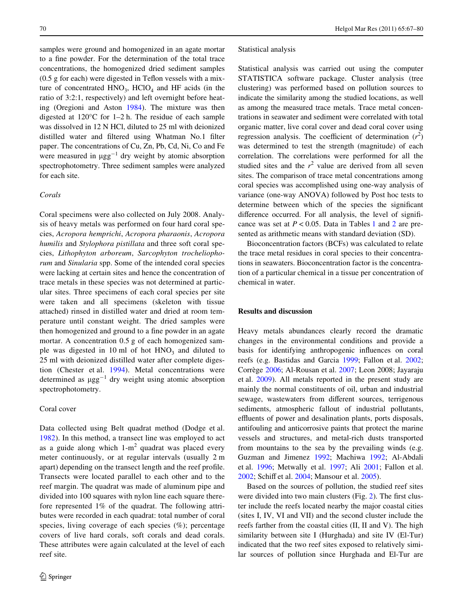samples were ground and homogenized in an agate mortar to a fine powder. For the determination of the total trace concentrations, the homogenized dried sediment samples  $(0.5$  g for each) were digested in Teflon vessels with a mixture of concentrated  $HNO<sub>3</sub>$ ,  $HClO<sub>4</sub>$  and HF acids (in the ratio of 3:2:1, respectively) and left overnight before heating (Oregioni and Aston [1984](#page-13-18)). The mixture was then digested at 120°C for 1–2 h. The residue of each sample was dissolved in 12 N HCl, diluted to 25 ml with deionized distilled water and filtered using Whatman No.1 filter paper. The concentrations of Cu, Zn, Pb, Cd, Ni, Co and Fe were measured in  $\mu gg^{-1}$  dry weight by atomic absorption spectrophotometry. Three sediment samples were analyzed for each site.

# *Corals*

Coral specimens were also collected on July 2008. Analysis of heavy metals was performed on four hard coral species, *Acropora hemprichi*, *Acropora pharaonis*, *Acropora humilis* and *Stylophora pistillata* and three soft coral species, *Lithophyton arboreum*, *Sarcophyton trocheliophorum* and *Sinularia* spp. Some of the intended coral species were lacking at certain sites and hence the concentration of trace metals in these species was not determined at particular sites. Three specimens of each coral species per site were taken and all specimens (skeleton with tissue attached) rinsed in distilled water and dried at room temperature until constant weight. The dried samples were then homogenized and ground to a fine powder in an agate mortar. A concentration 0.5 g of each homogenized sample was digested in 10 ml of hot  $HNO<sub>3</sub>$  and diluted to 25 ml with deionized distilled water after complete digestion (Chester et al. [1994\)](#page-12-13). Metal concentrations were determined as  $\mu gg^{-1}$  dry weight using atomic absorption spectrophotometry.

## Coral cover

Data collected using Belt quadrat method (Dodge et al. [1982](#page-12-14)). In this method, a transect line was employed to act as a guide along which  $1-m^2$  quadrat was placed every meter continuously, or at regular intervals (usually 2 m apart) depending on the transect length and the reef profile. Transects were located parallel to each other and to the reef margin. The quadrat was made of aluminum pipe and divided into 100 squares with nylon line each square therefore represented 1% of the quadrat. The following attributes were recorded in each quadrat: total number of coral species, living coverage of each species (%); percentage covers of live hard corals, soft corals and dead corals. These attributes were again calculated at the level of each reef site.

#### Statistical analysis

Statistical analysis was carried out using the computer STATISTICA software package. Cluster analysis (tree clustering) was performed based on pollution sources to indicate the similarity among the studied locations, as well as among the measured trace metals. Trace metal concentrations in seawater and sediment were correlated with total organic matter, live coral cover and dead coral cover using regression analysis. The coefficient of determination  $(r^2)$ was determined to test the strength (magnitude) of each correlation. The correlations were performed for all the studied sites and the  $r^2$  value are derived from all seven sites. The comparison of trace metal concentrations among coral species was accomplished using one-way analysis of variance (one-way ANOVA) followed by Post hoc tests to determine between which of the species the significant difference occurred. For all analysis, the level of significance was set at  $P < 0.05$ . Data in Tables [1](#page-4-0) and [2](#page-5-0) are presented as arithmetic means with standard deviation (SD).

Bioconcentration factors (BCFs) was calculated to relate the trace metal residues in coral species to their concentrations in seawaters. Bioconcentration factor is the concentration of a particular chemical in a tissue per concentration of chemical in water.

## **Results and discussion**

Heavy metals abundances clearly record the dramatic changes in the environmental conditions and provide a basis for identifying anthropogenic influences on coral reefs (e.g. Bastidas and Garcia [1999](#page-12-8); Fallon et al. [2002;](#page-12-5) Corrège [2006](#page-12-6); Al-Rousan et al. [2007;](#page-12-9) Leon 2008; Jayaraju et al. [2009\)](#page-13-17). All metals reported in the present study are mainly the normal constituents of oil, urban and industrial sewage, wastewaters from different sources, terrigenous sediments, atmospheric fallout of industrial pollutants, effluents of power and desalination plants, ports disposals, antifouling and anticorrosive paints that protect the marine vessels and structures, and metal-rich dusts transported from mountains to the sea by the prevailing winds (e.g. Guzman and Jimenez [1992](#page-13-16); Machiwa [1992](#page-13-19); Al-Abdali et al. [1996;](#page-12-15) Metwally et al. [1997;](#page-13-20) Ali [2001;](#page-12-16) Fallon et al. [2002](#page-12-5); Schiff et al. [2004](#page-13-21); Mansour et al. [2005](#page-13-22)).

Based on the sources of pollution, the studied reef sites were divided into two main clusters (Fig.  $2$ ). The first cluster include the reefs located nearby the major coastal cities (sites I, IV, VI and VII) and the second cluster include the reefs farther from the coastal cities (II, II and V). The high similarity between site I (Hurghada) and site IV (El-Tur) indicated that the two reef sites exposed to relatively similar sources of pollution since Hurghada and El-Tur are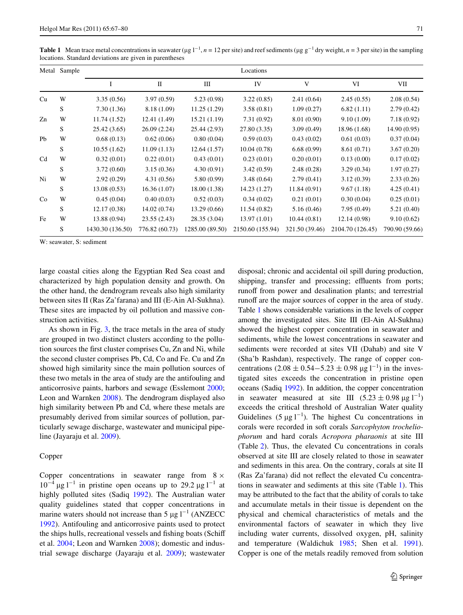<span id="page-4-0"></span>**Table 1** Mean trace metal concentrations in seawater ( $\mu$ g l<sup>-1</sup>, *n* = 12 per site) and reef sediments ( $\mu$ g g<sup>-1</sup> dry weight, *n* = 3 per site) in the sampling locations. Standard deviations are given in parentheses

|                | Metal Sample | Locations        |                |                 |                  |                |                  |                |  |  |  |  |
|----------------|--------------|------------------|----------------|-----------------|------------------|----------------|------------------|----------------|--|--|--|--|
|                |              | I                | $\mathbf{I}$   | III             | IV               | V              | VI               | VII            |  |  |  |  |
| Cu             | W            | 3.35(0.56)       | 3.97(0.59)     | 5.23(0.98)      | 3.22(0.85)       | 2.41(0.64)     | 2.45(0.55)       | 2.08(0.54)     |  |  |  |  |
|                | S            | 7.30(1.36)       | 8.18 (1.09)    | 11.25(1.29)     | 3.58(0.81)       | 1.09(0.27)     | 6.82(1.11)       | 2.79(0.42)     |  |  |  |  |
| Zn             | W            | 11.74(1.52)      | 12.41(1.49)    | 15.21(1.19)     | 7.31(0.92)       | 8.01 (0.90)    | 9.10(1.09)       | 7.18(0.92)     |  |  |  |  |
|                | S            | 25.42 (3.65)     | 26.09 (2.24)   | 25.44 (2.93)    | 27.80 (3.35)     | 3.09(0.49)     | 18.96 (1.68)     | 14.90(0.95)    |  |  |  |  |
| Pb             | W            | 0.68(0.13)       | 0.62(0.06)     | 0.80(0.04)      | 0.59(0.03)       | 0.43(0.02)     | 0.61(0.03)       | 0.37(0.04)     |  |  |  |  |
|                | S            | 10.55(1.62)      | 11.09(1.13)    | 12.64(1.57)     | 10.04 (0.78)     | 6.68(0.99)     | 8.61(0.71)       | 3.67(0.20)     |  |  |  |  |
| C <sub>d</sub> | W            | 0.32(0.01)       | 0.22(0.01)     | 0.43(0.01)      | 0.23(0.01)       | 0.20(0.01)     | 0.13(0.00)       | 0.17(0.02)     |  |  |  |  |
|                | S            | 3.72(0.60)       | 3.15(0.36)     | 4.30(0.91)      | 3.42(0.59)       | 2.48(0.28)     | 3.29(0.34)       | 1.97(0.27)     |  |  |  |  |
| Ni             | W            | 2.92(0.29)       | 4.31(0.56)     | 5.80 (0.99)     | 3.48(0.64)       | 2.79(0.41)     | 3.12(0.39)       | 2.33(0.26)     |  |  |  |  |
|                | S            | 13.08(0.53)      | 16.36(1.07)    | 18.00(1.38)     | 14.23 (1.27)     | 11.84(0.91)    | 9.67(1.18)       | 4.25(0.41)     |  |  |  |  |
| Co             | W            | 0.45(0.04)       | 0.40(0.03)     | 0.52(0.03)      | 0.34(0.02)       | 0.21(0.01)     | 0.30(0.04)       | 0.25(0.01)     |  |  |  |  |
|                | S            | 12.17(0.38)      | 14.02(0.74)    | 13.29(0.66)     | 11.54(0.82)      | 5.16(0.46)     | 7.95(0.49)       | 5.21(0.40)     |  |  |  |  |
| Fe             | W            | 13.88 (0.94)     | 23.55(2.43)    | 28.35 (3.04)    | 13.97(1.01)      | 10.44(0.81)    | 12.14(0.98)      | 9.10(0.62)     |  |  |  |  |
|                | S            | 1430.30 (136.50) | 776.82 (60.73) | 1285.00 (89.50) | 2150.60 (155.94) | 321.50 (39.46) | 2104.70 (126.45) | 790.90 (59.66) |  |  |  |  |

W: seawater, S: sediment

large coastal cities along the Egyptian Red Sea coast and characterized by high population density and growth. On the other hand, the dendrogram reveals also high similarity between sites II (Ras Za'farana) and III (E-Ain Al-Sukhna). These sites are impacted by oil pollution and massive construction activities.

As shown in Fig. [3](#page-6-1), the trace metals in the area of study are grouped in two distinct clusters according to the pollution sources the first cluster comprises Cu, Zn and Ni, while the second cluster comprises Pb, Cd, Co and Fe. Cu and Zn showed high similarity since the main pollution sources of these two metals in the area of study are the antifouling and anticorrosive paints, harbors and sewage (Esslemont [2000](#page-12-17); Leon and Warnken [2008](#page-13-23)). The dendrogram displayed also high similarity between Pb and Cd, where these metals are presumably derived from similar sources of pollution, particularly sewage discharge, wastewater and municipal pipeline (Jayaraju et al. [2009\)](#page-13-17).

## Copper

Copper concentrations in seawater range from  $8 \times$  $10^{-4}$  µg l<sup>-1</sup> in pristine open oceans up to 29.2 µg l<sup>-1</sup> at highly polluted sites (Sadiq [1992\)](#page-13-24). The Australian water quality guidelines stated that copper concentrations in marine waters should not increase than 5  $\mu$ g l<sup>-1</sup> (ANZECC) [1992](#page-12-18)). Antifouling and anticorrosive paints used to protect the ships hulls, recreational vessels and fishing boats (Schiff et al. [2004](#page-13-21); Leon and Warnken [2008](#page-13-23)); domestic and industrial sewage discharge (Jayaraju et al. [2009\)](#page-13-17); wastewater disposal; chronic and accidental oil spill during production, shipping, transfer and processing; effluents from ports; runoff from power and desalination plants; and terrestrial runoff are the major sources of copper in the area of study. Table [1](#page-4-0) shows considerable variations in the levels of copper among the investigated sites. Site III (El-Ain Al-Sukhna) showed the highest copper concentration in seawater and sediments, while the lowest concentrations in seawater and sediments were recorded at sites VII (Dahab) and site V (Sha'b Rashdan), respectively. The range of copper concentrations  $(2.08 \pm 0.54 - 5.23 \pm 0.98 \,\text{µg l}^{-1})$  in the investigated sites exceeds the concentration in pristine open oceans (Sadiq [1992\)](#page-13-24). In addition, the copper concentration in seawater measured at site III  $(5.23 \pm 0.98 \,\mu g \,l^{-1})$ exceeds the critical threshold of Australian Water quality Guidelines (5  $\mu$ g l<sup>-1</sup>). The highest Cu concentrations in corals were recorded in soft corals *Sarcophyton trocheliophorum* and hard corals *Acropora pharaonis* at site III (Table [2\)](#page-5-0). Thus, the elevated Cu concentrations in corals observed at site III are closely related to those in seawater and sediments in this area. On the contrary, corals at site II (Ras Za'farana) did not reflect the elevated Cu concentrations in seawater and sediments at this site (Table [1](#page-4-0)). This may be attributed to the fact that the ability of corals to take and accumulate metals in their tissue is dependent on the physical and chemical characteristics of metals and the environmental factors of seawater in which they live including water currents, dissolved oxygen, pH, salinity and temperature (Waldichuk [1985;](#page-13-25) Shen et al. [1991](#page-13-26)). Copper is one of the metals readily removed from solution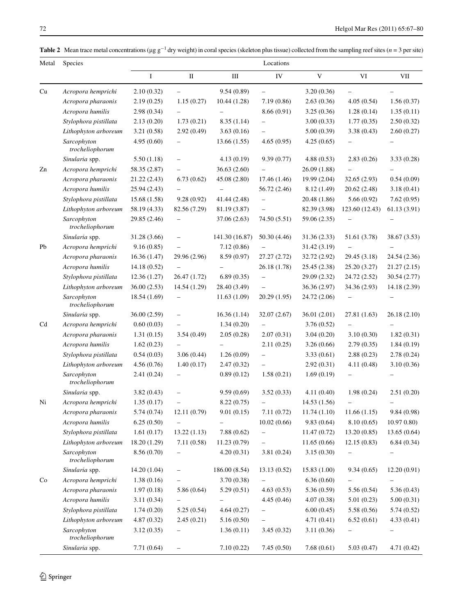<span id="page-5-0"></span>**Table 2** Mean trace metal concentrations ( $\mu$ g g<sup>-1</sup> dry weight) in coral species (skeleton plus tissue) collected from the sampling reef sites (*n* = 3 per site)

| Metal          | Species                        | Locations    |                                   |                |                          |              |                          |              |  |  |
|----------------|--------------------------------|--------------|-----------------------------------|----------------|--------------------------|--------------|--------------------------|--------------|--|--|
|                |                                | $\mathbf I$  | $\mathbf{I}$                      | $\rm III$      | ${\rm IV}$               | $\mathbf{V}$ | VI                       | VII          |  |  |
| Cu             | Acropora hemprichi             | 2.10(0.32)   | $\overline{\phantom{0}}$          | 9.54(0.89)     | $\overline{\phantom{0}}$ | 3.20(0.36)   |                          |              |  |  |
|                | Acropora pharaonis             | 2.19(0.25)   | 1.15(0.27)                        | 10.44(1.28)    | 7.19(0.86)               | 2.63(0.36)   | 4.05(0.54)               | 1.56(0.37)   |  |  |
|                | Acropora humilis               | 2.98(0.34)   |                                   |                | 8.66 (0.91)              | 3.25(0.36)   | 1.28(0.14)               | 1.35(0.11)   |  |  |
|                | Stylophora pistillata          | 2.13(0.20)   | 1.73(0.21)                        | 8.35(1.14)     |                          | 3.00(0.33)   | 1.77(0.35)               | 2.50(0.32)   |  |  |
|                | Lithophyton arboreum           | 3.21(0.58)   | 2.92(0.49)                        | 3.63(0.16)     |                          | 5.00(0.39)   | 3.38(0.43)               | 2.60(0.27)   |  |  |
|                | Sarcophyton<br>trocheliophorum | 4.95(0.60)   |                                   | 13.66(1.55)    | 4.65(0.95)               | 4.25(0.65)   |                          |              |  |  |
|                | Sinularia spp.                 | 5.50(1.18)   | $\overline{\phantom{0}}$          | 4.13(0.19)     | 9.39(0.77)               | 4.88(0.53)   | 2.83(0.26)               | 3.33(0.28)   |  |  |
| Zn             | Acropora hemprichi             | 58.35 (2.87) |                                   | 36.63 (2.60)   |                          | 26.09 (1.88) |                          |              |  |  |
|                | Acropora pharaonis             | 21.22 (2.43) | 6.73(0.62)                        | 45.08 (2.80)   | 17.46 (1.46)             | 19.99 (2.04) | 32.65(2.93)              | 0.54(0.09)   |  |  |
|                | Acropora humilis               | 25.94 (2.43) |                                   |                | 56.72 (2.46)             | 8.12 (1.49)  | 20.62 (2.48)             | 3.18(0.41)   |  |  |
|                | Stylophora pistillata          | 15.68(1.58)  | 9.28(0.92)                        | 41.44 (2.48)   |                          | 20.48 (1.86) | 5.66(0.92)               | 7.62(0.95)   |  |  |
|                | Lithophyton arboreum           | 58.19 (4.33) | 82.56 (7.29)                      | 81.19 (3.87)   |                          | 82.39 (3.98) | 123.60 (12.43)           | 61.13(3.91)  |  |  |
|                | Sarcophyton<br>trocheliophorum | 29.85 (2.46) |                                   | 37.06 (2.63)   | 74.50 (5.51)             | 59.06 (2.35) |                          |              |  |  |
|                | Sinularia spp.                 | 31.28 (3.66) | $\qquad \qquad -$                 | 141.30 (16.87) | 50.30 (4.46)             | 31.36 (2.33) | 51.61 (3.78)             | 38.67 (3.53) |  |  |
| Pb             | Acropora hemprichi             | 9.16(0.85)   | $\qquad \qquad -$                 | 7.12(0.86)     |                          | 31.42 (3.19) |                          |              |  |  |
|                | Acropora pharaonis             | 16.36(1.47)  | 29.96 (2.96)                      | 8.59 (0.97)    | 27.27 (2.72)             | 32.72 (2.92) | 29.45 (3.18)             | 24.54 (2.36) |  |  |
|                | Acropora humilis               | 14.18 (0.52) | $\qquad \qquad -$                 |                | 26.18 (1.78)             | 25.45 (2.38) | 25.20 (3.27)             | 21.27(2.15)  |  |  |
|                | Stylophora pistillata          | 12.36 (1.27) | 26.47 (1.72)                      | 6.89(0.35)     | $\qquad \qquad -$        | 29.09 (2.32) | 24.72 (2.52)             | 30.54 (2.77) |  |  |
|                | Lithophyton arboreum           | 36.00(2.53)  | 14.54 (1.29)                      | 28.40 (3.49)   | $\overline{\phantom{0}}$ | 36.36 (2.97) | 34.36 (2.93)             | 14.18 (2.39) |  |  |
|                | Sarcophyton<br>trocheliophorum | 18.54 (1.69) |                                   | 11.63(1.09)    | 20.29 (1.95)             | 24.72 (2.06) | $\qquad \qquad -$        |              |  |  |
|                | Sinularia spp.                 | 36.00 (2.59) | $\overline{\phantom{m}}$          | 16.36(1.14)    | 32.07 (2.67)             | 36.01 (2.01) | 27.81 (1.63)             | 26.18 (2.10) |  |  |
| C <sub>d</sub> | Acropora hemprichi             | 0.60(0.03)   |                                   | 1.34(0.20)     |                          | 3.76(0.52)   |                          |              |  |  |
|                | Acropora pharaonis             | 1.31(0.15)   | 3.54(0.49)                        | 2.05(0.28)     | 2.07(0.31)               | 3.04(0.20)   | 3.10(0.30)               | 1.82(0.31)   |  |  |
|                | Acropora humilis               | 1.62(0.23)   |                                   |                | 2.11(0.25)               | 3.26(0.66)   | 2.79(0.35)               | 1.84(0.19)   |  |  |
|                | Stylophora pistillata          | 0.54(0.03)   | 3.06(0.44)                        | 1.26(0.09)     |                          | 3.33(0.61)   | 2.88(0.23)               | 2.78(0.24)   |  |  |
|                | Lithophyton arboreum           | 4.56(0.76)   | 1.40(0.17)                        | 2.47(0.32)     |                          | 2.92(0.31)   | 4.11(0.48)               | 3.10(0.36)   |  |  |
|                | Sarcophyton<br>trocheliophorum | 2.41(0.24)   | -                                 | 0.89(0.12)     | 1.58(0.21)               | 1.69(0.19)   |                          |              |  |  |
|                | Sinularia spp.                 | 3.82(0.43)   |                                   | 9.59(0.69)     | 3.52(0.33)               | 4.11(0.40)   | 1.98(0.24)               | 2.51(0.20)   |  |  |
| Ni             | Acropora hemprichi             | 1.35(0.17)   |                                   | 8.22(0.75)     |                          | 14.53 (1.56) |                          |              |  |  |
|                | Acropora pharaonis             | 5.74(0.74)   | 12.11 (0.79)                      | 9.01(0.15)     | 7.11(0.72)               | 11.74(1.10)  | 11.66(1.15)              | 9.84 (0.98)  |  |  |
|                | Acropora humilis               | 6.25(0.50)   | $\hspace{0.1in} - \hspace{0.1in}$ |                | 10.02(0.66)              | 9.83(0.64)   | 8.10(0.65)               | 10.970.80    |  |  |
|                | Stylophora pistillata          | 1.61(0.17)   | 13.22(1.13)                       | 7.88(0.62)     | $\qquad \qquad -$        | 11.47(0.72)  | 13.20(0.85)              | 13.65(0.64)  |  |  |
|                | Lithophyton arboreum           | 18.20 (1.29) | 7.11(0.58)                        | 11.23(0.79)    |                          | 11.65(0.66)  | 12.15(0.83)              | 6.84(0.34)   |  |  |
|                | Sarcophyton<br>trocheliophorum | 8.56 (0.70)  |                                   | 4.20(0.31)     | 3.81 (0.24)              | 3.15(0.30)   | $\overline{\phantom{0}}$ |              |  |  |
|                | Sinularia spp.                 | 14.20 (1.04) | $\qquad \qquad -$                 | 186.00 (8.54)  | 13.13(0.52)              | 15.83(1.00)  | 9.34(0.65)               | 12.20(0.91)  |  |  |
| Co             | Acropora hemprichi             | 1.38(0.16)   |                                   | 3.70 (0.38)    |                          | 6.36(0.60)   |                          |              |  |  |
|                | Acropora pharaonis             | 1.97(0.18)   | 5.86(0.64)                        | 5.29(0.51)     | 4.63(0.53)               | 5.36(0.59)   | 5.56 (0.54)              | 5.36(0.43)   |  |  |
|                | Acropora humilis               | 3.11(0.34)   | $\qquad \qquad -$                 |                | 4.45(0.46)               | 4.07(0.38)   | 5.01(0.23)               | 5.00(0.31)   |  |  |
|                | Stylophora pistillata          | 1.74(0.20)   | 5.25(0.54)                        | 4.64(0.27)     |                          | 6.00(0.45)   | 5.58(0.56)               | 5.74(0.52)   |  |  |
|                | Lithophyton arboreum           | 4.87(0.32)   | 2.45(0.21)                        | 5.16(0.50)     | $\qquad \qquad -$        | 4.71(0.41)   | 6.52(0.61)               | 4.33(0.41)   |  |  |
|                | Sarcophyton<br>trocheliophorum | 3.12(0.35)   |                                   | 1.36(0.11)     | 3.45(0.32)               | 3.11(0.36)   |                          |              |  |  |
|                | Sinularia spp.                 | 7.71(0.64)   | $\qquad \qquad -$                 | 7.10(0.22)     | 7.45(0.50)               | 7.68(0.61)   | 5.03(0.47)               | 4.71(0.42)   |  |  |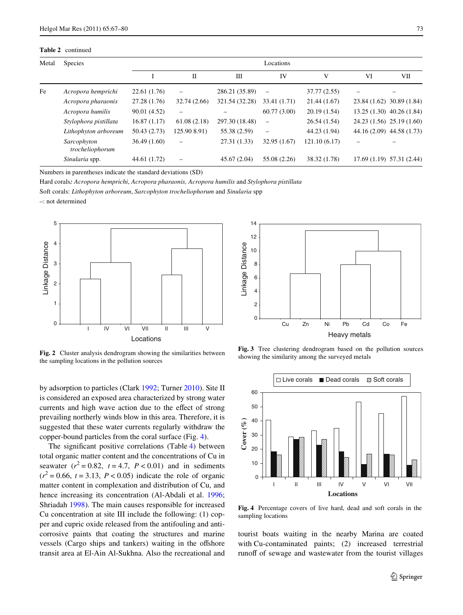**Table 2** continued

| Metal | <b>Species</b>                 | Locations    |              |                |                          |              |    |                            |  |
|-------|--------------------------------|--------------|--------------|----------------|--------------------------|--------------|----|----------------------------|--|
|       |                                |              | П            | Ш              | IV                       | V            | VI | VІІ                        |  |
| Fe    | Acropora hemprichi             | 22.61 (1.76) |              | 286.21 (35.89) | $\overline{\phantom{0}}$ | 37.77 (2.55) |    |                            |  |
|       | Acropora pharaonis             | 27.28 (1.76) | 32.74(2.66)  | 321.54 (32.28) | 33.41 (1.71)             | 21.44(1.67)  |    | 23.84 (1.62) 30.89 (1.84)  |  |
|       | Acropora humilis               | 90.01 (4.52) |              |                | 60.77(3.00)              | 20.19(1.54)  |    | $13.25(1.30)$ 40.26 (1.84) |  |
|       | Stylophora pistillata          | 16.87(1.17)  | 61.08(2.18)  | 297.30 (18.48) | $\overline{\phantom{0}}$ | 26.54(1.54)  |    | 24.23 (1.56) 25.19 (1.60)  |  |
|       | Lithophyton arboreum           | 50.43 (2.73) | 125.90 8.91) | 55.38 (2.59)   | $\overline{\phantom{0}}$ | 44.23 (1.94) |    | 44.16 (2.09) 44.58 (1.73)  |  |
|       | Sarcophyton<br>trocheliophorum | 36.49(1.60)  |              | 27.31 (1.33)   | 32.95 (1.67)             | 121.10(6.17) |    |                            |  |
|       | Sinularia spp.                 | 44.61 (1.72) |              | 45.67 (2.04)   | 55.08 (2.26)             | 38.32 (1.78) |    | $17.69(1.19)$ 57.31 (2.44) |  |

Numbers in parentheses indicate the standard deviations (SD)

Hard corals*: Acropora hemprichi*, *Acropora pharaonis, Acropora humilis* and *Stylophora pistillata*

Soft corals: *Lithophyton arboreum*, *Sarcophyton trocheliophorum* and *Sinularia* spp

–: not determined



<span id="page-6-0"></span>**Fig. 2** Cluster analysis dendrogram showing the similarities between the sampling locations in the pollution sources

by adsorption to particles (Clark [1992;](#page-12-19) Turner [2010\)](#page-13-27). Site II is considered an exposed area characterized by strong water currents and high wave action due to the effect of strong prevailing northerly winds blow in this area. Therefore, it is suggested that these water currents regularly withdraw the copper-bound particles from the coral surface (Fig. [4\)](#page-6-2).

The significant positive correlations (Table [4](#page-7-0)) between total organic matter content and the concentrations of Cu in seawater  $(r^2 = 0.82, t = 4.7, P < 0.01)$  and in sediments  $(r^2 = 0.66, t = 3.13, P < 0.05)$  indicate the role of organic matter content in complexation and distribution of Cu, and hence increasing its concentration (Al-Abdali et al. [1996](#page-12-15); Shriadah [1998](#page-13-28)). The main causes responsible for increased Cu concentration at site III include the following: (1) copper and cupric oxide released from the antifouling and anticorrosive paints that coating the structures and marine vessels (Cargo ships and tankers) waiting in the offshore transit area at El-Ain Al-Sukhna. Also the recreational and



<span id="page-6-1"></span>**Fig. 3** Tree clustering dendrogram based on the pollution sources showing the similarity among the surveyed metals



<span id="page-6-2"></span>**Fig. 4** Percentage covers of live hard, dead and soft corals in the sampling locations

tourist boats waiting in the nearby Marina are coated with Cu-contaminated paints; (2) increased terrestrial runoff of sewage and wastewater from the tourist villages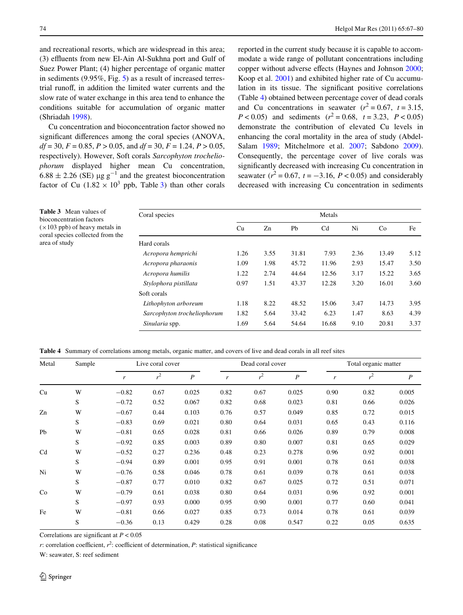<span id="page-7-1"></span>**Table 3** Mean values of bioconcentration factors  $(\times 103$  ppb) of heavy metals in coral species collected from the

area of study

and recreational resorts, which are widespread in this area; (3) effluents from new El-Ain Al-Sukhna port and Gulf of Suez Power Plant; (4) higher percentage of organic matter in sediments (9.95%, Fig. [5](#page-8-0)) as a result of increased terrestrial runoff, in addition the limited water currents and the slow rate of water exchange in this area tend to enhance the conditions suitable for accumulation of organic matter (Shriadah [1998](#page-13-28)).

Cu concentration and bioconcentration factor showed no significant differences among the coral species (ANOVA, *df* = 30, *F* = 0.85, *P* > 0.05, and *df* = 30, *F* = 1.24, *P* > 0.05, respectively). However, Soft corals *Sarcophyton trocheliophorum* displayed higher mean Cu concentration,  $6.88 \pm 2.26$  (SE) µg g<sup>-1</sup> and the greatest bioconcentration factor of Cu  $(1.82 \times 10^3 \text{ pb}$  $(1.82 \times 10^3 \text{ pb}$  $(1.82 \times 10^3 \text{ pb}$ , Table 3) than other corals

reported in the current study because it is capable to accommodate a wide range of pollutant concentrations including copper without adverse effects (Haynes and Johnson [2000;](#page-13-29) Koop et al. [2001\)](#page-13-30) and exhibited higher rate of Cu accumulation in its tissue. The significant positive correlations (Table [4\)](#page-7-0) obtained between percentage cover of dead corals and Cu concentrations in seawater  $(r^2 = 0.67, t = 3.15,$  $P < 0.05$ ) and sediments ( $r^2 = 0.68$ ,  $t = 3.23$ ,  $P < 0.05$ ) demonstrate the contribution of elevated Cu levels in enhancing the coral mortality in the area of study (Abdel-Salam [1989](#page-12-3); Mitchelmore et al. [2007;](#page-13-10) Sabdono [2009](#page-13-9)). Consequently, the percentage cover of live corals was significantly decreased with increasing Cu concentration in seawater  $(r^2 = 0.67, t = -3.16, P < 0.05)$  and considerably decreased with increasing Cu concentration in sediments

| Metals |      |       |                |      |       |      |  |
|--------|------|-------|----------------|------|-------|------|--|
| Cu     | Zn   | Pb    | C <sub>d</sub> | Ni   | Co    | Fe   |  |
|        |      |       |                |      |       |      |  |
| 1.26   | 3.55 | 31.81 | 7.93           | 2.36 | 13.49 | 5.12 |  |
| 1.09   | 1.98 | 45.72 | 11.96          | 2.93 | 15.47 | 3.50 |  |
| 1.22   | 2.74 | 44.64 | 12.56          | 3.17 | 15.22 | 3.65 |  |
| 0.97   | 1.51 | 43.37 | 12.28          | 3.20 | 16.01 | 3.60 |  |
|        |      |       |                |      |       |      |  |
| 1.18   | 8.22 | 48.52 | 15.06          | 3.47 | 14.73 | 3.95 |  |
| 1.82   | 5.64 | 33.42 | 6.23           | 1.47 | 8.63  | 4.39 |  |
| 1.69   | 5.64 | 54.64 | 16.68          | 9.10 | 20.81 | 3.37 |  |
|        |      |       |                |      |       |      |  |

<span id="page-7-0"></span>**Table 4** Summary of correlations among metals, organic matter, and covers of live and dead corals in all reef sites

| Metal | Sample |         | Live coral cover |                  | Dead coral cover |       |                  | Total organic matter |       |                  |
|-------|--------|---------|------------------|------------------|------------------|-------|------------------|----------------------|-------|------------------|
|       |        | r       | r <sup>2</sup>   | $\boldsymbol{P}$ | r                | $r^2$ | $\boldsymbol{P}$ | $\mathbf{r}$         | $r^2$ | $\boldsymbol{P}$ |
| Cu    | W      | $-0.82$ | 0.67             | 0.025            | 0.82             | 0.67  | 0.025            | 0.90                 | 0.82  | 0.005            |
|       | S      | $-0.72$ | 0.52             | 0.067            | 0.82             | 0.68  | 0.023            | 0.81                 | 0.66  | 0.026            |
| Zn    | W      | $-0.67$ | 0.44             | 0.103            | 0.76             | 0.57  | 0.049            | 0.85                 | 0.72  | 0.015            |
|       | S      | $-0.83$ | 0.69             | 0.021            | 0.80             | 0.64  | 0.031            | 0.65                 | 0.43  | 0.116            |
| Pb    | W      | $-0.81$ | 0.65             | 0.028            | 0.81             | 0.66  | 0.026            | 0.89                 | 0.79  | 0.008            |
|       | S      | $-0.92$ | 0.85             | 0.003            | 0.89             | 0.80  | 0.007            | 0.81                 | 0.65  | 0.029            |
| Cd    | W      | $-0.52$ | 0.27             | 0.236            | 0.48             | 0.23  | 0.278            | 0.96                 | 0.92  | 0.001            |
|       | S      | $-0.94$ | 0.89             | 0.001            | 0.95             | 0.91  | 0.001            | 0.78                 | 0.61  | 0.038            |
| Ni    | W      | $-0.76$ | 0.58             | 0.046            | 0.78             | 0.61  | 0.039            | 0.78                 | 0.61  | 0.038            |
|       | S      | $-0.87$ | 0.77             | 0.010            | 0.82             | 0.67  | 0.025            | 0.72                 | 0.51  | 0.071            |
| Co    | W      | $-0.79$ | 0.61             | 0.038            | 0.80             | 0.64  | 0.031            | 0.96                 | 0.92  | 0.001            |
|       | S      | $-0.97$ | 0.93             | 0.000            | 0.95             | 0.90  | 0.001            | 0.77                 | 0.60  | 0.041            |
| Fe    | W      | $-0.81$ | 0.66             | 0.027            | 0.85             | 0.73  | 0.014            | 0.78                 | 0.61  | 0.039            |
|       | S      | $-0.36$ | 0.13             | 0.429            | 0.28             | 0.08  | 0.547            | 0.22                 | 0.05  | 0.635            |

Correlations are significant at  $P < 0.05$ 

 $r$ : correlation coefficient,  $r^2$ : coefficient of determination,  $P$ : statistical significance

W: seawater, S: reef sediment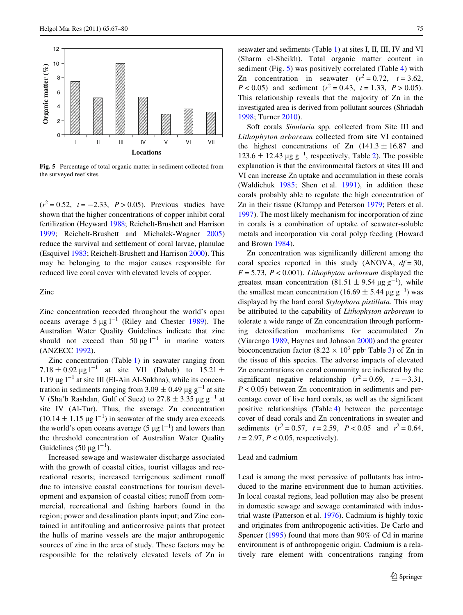

<span id="page-8-0"></span>**Fig. 5** Percentage of total organic matter in sediment collected from the surveyed reef sites

 $(r^2 = 0.52, t = -2.33, P > 0.05)$ . Previous studies have shown that the higher concentrations of copper inhibit coral fertilization (Heyward [1988;](#page-13-2) Reichelt-Brushett and Harrison [1999](#page-13-3); Reichelt-Brushett and Michalek-Wagner [2005\)](#page-13-5) reduce the survival and settlement of coral larvae, planulae (Esquivel [1983;](#page-12-0) Reichelt-Brushett and Harrison [2000](#page-13-7)). This may be belonging to the major causes responsible for reduced live coral cover with elevated levels of copper.

Zinc

Zinc concentration recorded throughout the world's open oceans average  $5 \mu g l^{-1}$  (Riley and Chester [1989\)](#page-13-31). The Australian Water Quality Guidelines indicate that zinc should not exceed than  $50 \mu g l^{-1}$  in marine waters (ANZECC [1992\)](#page-12-18).

Zinc concentration (Table [1\)](#page-4-0) in seawater ranging from  $7.18 \pm 0.92 \,\mathrm{\mu g\,l}^{-1}$  at site VII (Dahab) to  $15.21 \pm$  $1.19 \,\mu g \,$  l<sup>-1</sup> at site III (El-Ain Al-Sukhna), while its concentration in sediments ranging from 3.09  $\pm$  0.49 µg g<sup>-1</sup> at site V (Sha'b Rashdan, Gulf of Suez) to  $27.8 \pm 3.35$   $\mu$ g g<sup>-1</sup> at site IV (Al-Tur). Thus, the average Zn concentration  $(10.14 \pm 1.15 \,\mu g \, l^{-1})$  in seawater of the study area exceeds the world's open oceans average (5  $\mu$ g l<sup>-1</sup>) and lowers than the threshold concentration of Australian Water Quality Guidelines (50  $\mu$ g l<sup>-1</sup>).

Increased sewage and wastewater discharge associated with the growth of coastal cities, tourist villages and recreational resorts; increased terrigenous sediment runoff due to intensive coastal constructions for tourism development and expansion of coastal cities; runoff from commercial, recreational and fishing harbors found in the region; power and desalination plants input; and Zinc contained in antifouling and anticorrosive paints that protect the hulls of marine vessels are the major anthropogenic sources of zinc in the area of study. These factors may be responsible for the relatively elevated levels of Zn in

seawater and sediments (Table [1](#page-4-0)) at sites I, II, III, IV and VI (Sharm el-Sheikh). Total organic matter content in sediment (Fig. [5](#page-8-0)) was positively correlated (Table [4\)](#page-7-0) with Zn concentration in seawater  $(r^2 = 0.72, t = 3.62,$  $P < 0.05$ ) and sediment ( $r^2 = 0.43$ ,  $t = 1.33$ ,  $P > 0.05$ ). This relationship reveals that the majority of Zn in the investigated area is derived from pollutant sources (Shriadah [1998;](#page-13-28) Turner [2010\)](#page-13-27).

Soft corals *Sinularia* spp. collected from Site III and *Lithophyton arboreum* collected from site VI contained the highest concentrations of Zn  $(141.3 \pm 16.87)$  and  $123.6 \pm 12.43 \,\mu g \, g^{-1}$ , respectively, Table [2\)](#page-5-0). The possible explanation is that the environmental factors at sites III and VI can increase Zn uptake and accumulation in these corals (Waldichuk [1985](#page-13-25); Shen et al. [1991](#page-13-26)), in addition these corals probably able to regulate the high concentration of Zn in their tissue (Klumpp and Peterson [1979;](#page-13-32) Peters et al. [1997](#page-13-11)). The most likely mechanism for incorporation of zinc in corals is a combination of uptake of seawater-soluble metals and incorporation via coral polyp feeding (Howard and Brown [1984\)](#page-13-0).

Zn concentration was significantly different among the coral species reported in this study (ANOVA, *df* = 30, *F* = 5.73, *P* < 0.001). *Lithophyton arboreum* displayed the greatest mean concentration  $(81.51 \pm 9.54 \,\mu g \, g^{-1})$ , while the smallest mean concentration (16.69  $\pm$  5.44  $\mu$ g g<sup>-1</sup>) was displayed by the hard coral *Stylophora pistillata.* This may be attributed to the capability of *Lithophyton arboreum* to tolerate a wide range of Zn concentration through performing detoxification mechanisms for accumulated Zn (Viarengo [1989](#page-13-33); Haynes and Johnson [2000](#page-13-29)) and the greater bioconcentration factor (8.22  $\times$  10<sup>3</sup> ppb<sup>,</sup> Table [3\)](#page-7-1) of Zn in the tissue of this species. The adverse impacts of elevated Zn concentrations on coral community are indicated by the significant negative relationship  $(r^2 = 0.69, t = -3.31,$ *P* < 0.05) between Zn concentration in sediments and percentage cover of live hard corals, as well as the significant positive relationships (Table [4](#page-7-0)) between the percentage cover of dead corals and Zn concentrations in sweater and sediments  $(r^2 = 0.57, t = 2.59, P < 0.05 \text{ and } r^2 = 0.64,$  $t = 2.97$ ,  $P < 0.05$ , respectively).

# Lead and cadmium

Lead is among the most pervasive of pollutants has introduced to the marine environment due to human activities. In local coastal regions, lead pollution may also be present in domestic sewage and sewage contaminated with industrial waste (Patterson et al. [1976\)](#page-13-34). Cadmium is highly toxic and originates from anthropogenic activities. De Carlo and Spencer ([1995\)](#page-12-20) found that more than 90% of Cd in marine environment is of anthropogenic origin. Cadmium is a relatively rare element with concentrations ranging from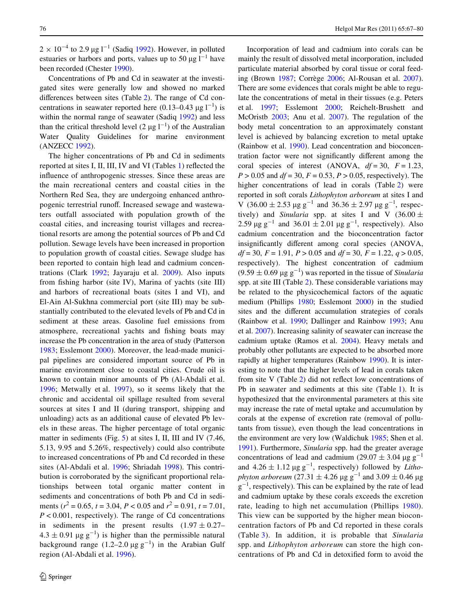$2 \times 10^{-4}$  to 2.9 µg l<sup>-1</sup> (Sadiq [1992](#page-13-24)). However, in polluted estuaries or harbors and ports, values up to 50  $\mu$ g l<sup>-1</sup> have been recorded (Chester [1990](#page-12-21)).

Concentrations of Pb and Cd in seawater at the investigated sites were generally low and showed no marked differences between sites (Table  $2$ ). The range of Cd concentrations in seawater reported here  $(0.13-0.43 \text{ µg l}^{-1})$  is within the normal range of seawater (Sadiq [1992](#page-13-24)) and less than the critical threshold level  $(2 \mu g 1^{-1})$  of the Australian Water Quality Guidelines for marine environment (ANZECC [1992\)](#page-12-18).

The higher concentrations of Pb and Cd in sediments reported at sites I, II, III, IV and VI (Tables  $1$ ) reflected the influence of anthropogenic stresses. Since these areas are the main recreational centers and coastal cities in the Northern Red Sea, they are undergoing enhanced anthropogenic terrestrial runoff. Increased sewage and wastewaters outfall associated with population growth of the coastal cities, and increasing tourist villages and recreational resorts are among the potential sources of Pb and Cd pollution. Sewage levels have been increased in proportion to population growth of coastal cities. Sewage sludge has been reported to contain high lead and cadmium concentrations (Clark [1992;](#page-12-19) Jayaraju et al. [2009](#page-13-17)). Also inputs from fishing harbor (site IV), Marina of yachts (site III) and harbors of recreational boats (sites I and VI), and El-Ain Al-Sukhna commercial port (site III) may be substantially contributed to the elevated levels of Pb and Cd in sediment at these areas. Gasoline fuel emissions from atmosphere, recreational yachts and fishing boats may increase the Pb concentration in the area of study (Patterson [1983](#page-13-35); Esslemont [2000\)](#page-12-17). Moreover, the lead-made municipal pipelines are considered important source of Pb in marine environment close to coastal cities. Crude oil is known to contain minor amounts of Pb (Al-Abdali et al. [1996](#page-12-15); Metwally et al. [1997](#page-13-20)), so it seems likely that the chronic and accidental oil spillage resulted from several sources at sites I and II (during transport, shipping and unloading) acts as an additional cause of elevated Pb levels in these areas. The higher percentage of total organic matter in sediments (Fig. [5\)](#page-8-0) at sites I, II, III and IV (7.46, 5.13, 9.95 and 5.26%, respectively) could also contribute to increased concentrations of Pb and Cd recorded in these sites (Al-Abdali et al. [1996;](#page-12-15) Shriadah [1998\)](#page-13-28). This contribution is corroborated by the significant proportional relationships between total organic matter content in sediments and concentrations of both Pb and Cd in sediments ( $r^2 = 0.65$ ,  $t = 3.04$ ,  $P < 0.05$  and  $r^2 = 0.91$ ,  $t = 7.01$ , *P* < 0.001, respectively). The range of Cd concentrations in sediments in the present results  $(1.97 \pm 0.27 4.3 \pm 0.91$  µg g<sup>-1</sup>) is higher than the permissible natural background range  $(1.2-2.0 \mu g g^{-1})$  in the Arabian Gulf region (Al-Abdali et al. [1996](#page-12-15)).

Incorporation of lead and cadmium into corals can be mainly the result of dissolved metal incorporation, included particulate material absorbed by coral tissue or coral feeding (Brown [1987;](#page-12-4) Corrège [2006;](#page-12-6) Al-Rousan et al. [2007](#page-12-9)). There are some evidences that corals might be able to regulate the concentrations of metal in their tissues (e.g. Peters et al. [1997;](#page-13-11) Esslemont [2000;](#page-12-17) Reichelt-Brushett and McOristb [2003](#page-13-36); Anu et al. [2007\)](#page-12-10). The regulation of the body metal concentration to an approximately constant level is achieved by balancing excretion to metal uptake (Rainbow et al. [1990\)](#page-13-37). Lead concentration and bioconcentration factor were not significantly different among the coral species of interest (ANOVA,  $df = 30$ ,  $F = 1.23$ , *P* > 0.05 and *df* = 30, *F* = 0.53, *P* > 0.05, respectively). The higher concentrations of lead in corals (Table [2\)](#page-5-0) were reported in soft corals *Lithophyton arboreum* at sites I and V  $(36.00 \pm 2.53 \text{ µg g}^{-1} \text{ and } 36.36 \pm 2.97 \text{ µg g}^{-1}, \text{ respec-}$ tively) and *Sinularia* spp. at sites I and V (36.00  $\pm$ 2.59  $\mu$ g g<sup>-1</sup> and 36.01  $\pm$  2.01  $\mu$ g g<sup>-1</sup>, respectively). Also cadmium concentration and the bioconcentration factor insignificantly different among coral species (ANOVA, *df* = 30, *F* = 1.91, *P* > 0.05 and *df* = 30, *F* = 1.22, *q* > 0.05, respectively). The highest concentration of cadmium  $(9.59 \pm 0.69 \,\mu g \, g^{-1})$  was reported in the tissue of *Sinularia* spp. at site III (Table [2](#page-5-0)). These considerable variations may be related to the physicochemical factors of the aquatic medium (Phillips [1980;](#page-13-38) Esslemont [2000](#page-12-17)) in the studied sites and the different accumulation strategies of corals (Rainbow et al. [1990](#page-13-37); Dallinger and Rainbow [1993](#page-12-22); Anu et al. [2007\)](#page-12-10). Increasing salinity of seawater can increase the cadmium uptake (Ramos et al. [2004](#page-13-14)). Heavy metals and probably other pollutants are expected to be absorbed more rapidly at higher temperatures (Rainbow [1990](#page-13-39)). It is interesting to note that the higher levels of lead in corals taken from site V (Table  $2$ ) did not reflect low concentrations of Pb in seawater and sediments at this site (Table [1](#page-4-0)). It is hypothesized that the environmental parameters at this site may increase the rate of metal uptake and accumulation by corals at the expense of excretion rate (removal of pollutants from tissue), even though the lead concentrations in the environment are very low (Waldichuk [1985;](#page-13-25) Shen et al. [1991](#page-13-26)). Furthermore, *Sinularia* spp. had the greater average concentrations of lead and cadmium (29.07  $\pm$  3.04  $\mu$ g g<sup>-1</sup> and  $4.26 \pm 1.12 \,\mu g \, g^{-1}$ , respectively) followed by *Lithophyton arboreum* (27.31  $\pm$  4.26  $\mu$ g g<sup>-1</sup> and 3.09  $\pm$  0.46  $\mu$ g  $g^{-1}$ , respectively). This can be explained by the rate of lead and cadmium uptake by these corals exceeds the excretion rate, leading to high net accumulation (Phillips [1980](#page-13-38)). This view can be supported by the higher mean bioconcentration factors of Pb and Cd reported in these corals (Table [3](#page-7-1)). In addition, it is probable that *Sinularia* spp. and *Lithophyton arboreum* can store the high concentrations of Pb and Cd in detoxified form to avoid the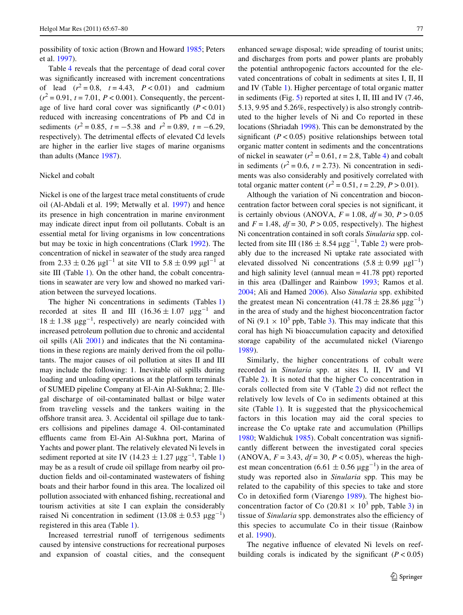possibility of toxic action (Brown and Howard [1985;](#page-12-23) Peters et al. [1997\)](#page-13-11).

Table [4](#page-7-0) reveals that the percentage of dead coral cover was significantly increased with increment concentrations of lead  $(r^2 = 0.8, t = 4.43, P < 0.01)$  and cadmium  $(r^2 = 0.91, t = 7.01, P < 0.001)$ . Consequently, the percentage of live hard coral cover was significantly  $(P < 0.01)$ reduced with increasing concentrations of Pb and Cd in sediments ( $r^2 = 0.85$ ,  $t = -5.38$  and  $r^2 = 0.89$ ,  $t = -6.29$ , respectively). The detrimental effects of elevated Cd levels are higher in the earlier live stages of marine organisms than adults (Mance [1987](#page-13-40)).

## Nickel and cobalt

Nickel is one of the largest trace metal constituents of crude oil (Al-Abdali et al. 199; Metwally et al. [1997](#page-13-20)) and hence its presence in high concentration in marine environment may indicate direct input from oil pollutants. Cobalt is an essential metal for living organisms in low concentrations but may be toxic in high concentrations (Clark [1992\)](#page-12-19). The concentration of nickel in seawater of the study area ranged from 2.33  $\pm$  0.26  $\mu$ gl<sup>-1</sup> at site VII to 5.8  $\pm$  0.99  $\mu$ gl<sup>-1</sup> at site III (Table [1\)](#page-4-0). On the other hand, the cobalt concentrations in seawater are very low and showed no marked variation between the surveyed locations.

The higher Ni concentrations in sediments (Tables [1\)](#page-4-0) recorded at sites II and III  $(16.36 \pm 1.07 \text{ }\mu\text{gg}^{-1})$  and  $18 \pm 1.38$   $\mu$ gg<sup>-1</sup>, respectively) are nearly coincided with increased petroleum pollution due to chronic and accidental oil spills (Ali [2001](#page-12-16)) and indicates that the Ni contaminations in these regions are mainly derived from the oil pollutants. The major causes of oil pollution at sites II and III may include the following: 1. Inevitable oil spills during loading and unloading operations at the platform terminals of SUMED pipeline Company at El-Ain Al-Sukhna; 2. Illegal discharge of oil-contaminated ballast or bilge water from traveling vessels and the tankers waiting in the offshore transit area. 3. Accidental oil spillage due to tankers collisions and pipelines damage 4. Oil-contaminated effluents came from El-Ain Al-Sukhna port, Marina of Yachts and power plant. The relatively elevated Ni levels in sediment reported at site IV  $(14.23 \pm 1.27 \text{ µgg}^{-1}, \text{Table 1})$ may be as a result of crude oil spillage from nearby oil production fields and oil-contaminated wastewaters of fishing boats and their harbor found in this area. The localized oil pollution associated with enhanced fishing, recreational and tourism activities at site I can explain the considerably raised Ni concentration in sediment  $(13.08 \pm 0.53 \text{ µgg}^{-1})$ registered in this area (Table [1\)](#page-4-0).

Increased terrestrial runoff of terrigenous sediments caused by intensive constructions for recreational purposes and expansion of coastal cities, and the consequent enhanced sewage disposal; wide spreading of tourist units; and discharges from ports and power plants are probably the potential anthropogenic factors accounted for the elevated concentrations of cobalt in sediments at sites I, II, II and IV (Table [1\)](#page-4-0). Higher percentage of total organic matter in sediments (Fig. [5\)](#page-8-0) reported at sites I, II, III and IV (7.46, 5.13, 9.95 and 5.26%, respectively) is also strongly contributed to the higher levels of Ni and Co reported in these locations (Shriadah [1998](#page-13-28)). This can be demonstrated by the significant  $(P < 0.05)$  positive relationships between total organic matter content in sediments and the concentrations of nickel in seawater  $(r^2 = 0.61, t = 2.8,$  Table [4](#page-7-0)) and cobalt in sediments ( $r^2$  = 0.6,  $t$  = 2.73). Ni concentration in sediments was also considerably and positively correlated with total organic matter content ( $r^2 = 0.51$ ,  $t = 2.29$ ,  $P > 0.01$ ).

Although the variation of Ni concentration and bioconcentration factor between coral species is not significant, it is certainly obvious (ANOVA,  $F = 1.08$ ,  $df = 30$ ,  $P > 0.05$ and  $F = 1.48$ ,  $df = 30$ ,  $P > 0.05$ , respectively). The highest Ni concentration contained in soft corals *Sinularia* spp. collected from site III ( $186 \pm 8.54 \,\mu\text{gg}^{-1}$ , Table [2\)](#page-5-0) were probably due to the increased Ni uptake rate associated with elevated dissolved Ni concentrations  $(5.8 \pm 0.99 \mu g l^{-1})$ and high salinity level (annual mean = 41.78 ppt) reported in this area (Dallinger and Rainbow [1993;](#page-12-22) Ramos et al. [2004](#page-13-14); Ali and Hamed [2006\)](#page-12-24). Also *Sinularia* spp. exhibited the greatest mean Ni concentration  $(41.78 \pm 28.86 \text{ µgg}^{-1})$ in the area of study and the highest bioconcentration factor of Ni  $(9.1 \times 10^3$  ppb, Table [3\)](#page-7-1). This may indicate that this coral has high Ni bioaccumulation capacity and detoxified storage capability of the accumulated nickel (Viarengo [1989](#page-13-33)).

Similarly, the higher concentrations of cobalt were recorded in *Sinularia* spp. at sites I, II, IV and VI (Table [2\)](#page-5-0). It is noted that the higher Co concentration in corals collected from site V (Table  $2$ ) did not reflect the relatively low levels of Co in sediments obtained at this site (Table [1\)](#page-4-0). It is suggested that the physicochemical factors in this location may aid the coral species to increase the Co uptake rate and accumulation (Phillips [1980;](#page-13-38) Waldichuk [1985\)](#page-13-25). Cobalt concentration was significantly different between the investigated coral species (ANOVA,  $F = 3.43$ ,  $df = 30$ ,  $P < 0.05$ ), whereas the highest mean concentration  $(6.61 \pm 0.56 \,\text{µgg}^{-1})$  in the area of study was reported also in *Sinularia* spp. This may be related to the capability of this species to take and store Co in detoxified form (Viarengo [1989\)](#page-13-33). The highest bioconcentration factor of Co (20.81  $\times$  10<sup>[3](#page-7-1)</sup> ppb, Table 3) in tissue of *Sinularia* spp. demonstrates also the efficiency of this species to accumulate Co in their tissue (Rainbow et al. [1990](#page-13-37)).

The negative influence of elevated Ni levels on reefbuilding corals is indicated by the significant  $(P < 0.05)$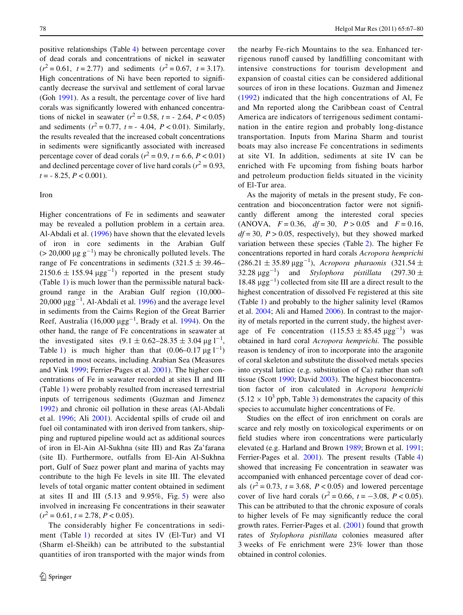positive relationships (Table [4](#page-7-0)) between percentage cover of dead corals and concentrations of nickel in seawater  $(r^2 = 0.61, t = 2.77)$  and sediments  $(r^2 = 0.67, t = 3.17)$ . High concentrations of Ni have been reported to significantly decrease the survival and settlement of coral larvae (Goh [1991\)](#page-13-6). As a result, the percentage cover of live hard corals was significantly lowered with enhanced concentrations of nickel in seawater  $(r^2 = 0.58, t = -2.64, P < 0.05)$ and sediments  $(r^2 = 0.77, t = -4.04, P < 0.01)$ . Similarly, the results revealed that the increased cobalt concentrations in sediments were significantly associated with increased percentage cover of dead corals ( $r^2 = 0.9$ ,  $t = 6.6$ ,  $P < 0.01$ ) and declined percentage cover of live hard corals ( $r^2 = 0.93$ ,  $t = -8.25, P < 0.001$ .

# Iron

Higher concentrations of Fe in sediments and seawater may be revealed a pollution problem in a certain area. Al-Abdali et al. [\(1996\)](#page-12-15) have shown that the elevated levels of iron in core sediments in the Arabian Gulf  $(> 20,000 \ \mu g g^{-1})$  may be chronically polluted levels. The range of Fe concentrations in sediments  $(321.5 \pm 39.46 2150.6 \pm 155.94 \,\mu\text{gg}^{-1}$  reported in the present study (Table [1](#page-4-0)) is much lower than the permissible natural background range in the Arabian Gulf region (10,000– 20,000  $\mu$ gg<sup>-1</sup>, Al-Abdali et al. [1996](#page-12-15)) and the average level in sediments from the Cairns Region of the Great Barrier Reef, Australia (16,000  $\mu$ gg<sup>-1</sup>, Brady et al. [1994\)](#page-12-25). On the other hand, the range of Fe concentrations in seawater at the investigated sites  $(9.1 \pm 0.62 - 28.35 \pm 3.04 \,\text{µg l}^{-1})$ , Table [1\)](#page-4-0) is much higher than that  $(0.06-0.17 \text{ µg l}^{-1})$ reported in most oceans, including Arabian Sea (Measures and Vink [1999](#page-13-41); Ferrier-Pages et al. [2001](#page-12-2)). The higher concentrations of Fe in seawater recorded at sites II and III (Table [1](#page-4-0)) were probably resulted from increased terrestrial inputs of terrigenous sediments (Guzman and Jimenez [1992](#page-13-16)) and chronic oil pollution in these areas (Al-Abdali et al. [1996;](#page-12-15) Ali [2001](#page-12-16)). Accidental spills of crude oil and fuel oil contaminated with iron derived from tankers, shipping and ruptured pipeline would act as additional sources of iron in El-Ain Al-Sukhna (site III) and Ras Za'farana (site II). Furthermore, outfalls from El-Ain Al-Sukhna port, Gulf of Suez power plant and marina of yachts may contribute to the high Fe levels in site III. The elevated levels of total organic matter content obtained in sediment at sites II and III  $(5.13 \text{ and } 9.95\%, \text{ Fig. 5})$  $(5.13 \text{ and } 9.95\%, \text{ Fig. 5})$  $(5.13 \text{ and } 9.95\%, \text{ Fig. 5})$  were also involved in increasing Fe concentrations in their seawater  $(r^2 = 0.61, t = 2.78, P < 0.05).$ 

The considerably higher Fe concentrations in sediment (Table [1\)](#page-4-0) recorded at sites IV (El-Tur) and VI (Sharm el-Sheikh) can be attributed to the substantial quantities of iron transported with the major winds from the nearby Fe-rich Mountains to the sea. Enhanced terrigenous runoff caused by landfilling concomitant with intensive constructions for tourism development and expansion of coastal cities can be considered additional sources of iron in these locations. Guzman and Jimenez ([1992](#page-13-16)) indicated that the high concentrations of Al, Fe and Mn reported along the Caribbean coast of Central America are indicators of terrigenous sediment contamination in the entire region and probably long-distance transportation. Inputs from Marina Sharm and tourist boats may also increase Fe concentrations in sediments at site VI. In addition, sediments at site IV can be enriched with Fe upcoming from fishing boats harbor and petroleum production fields situated in the vicinity of El-Tur area.

As the majority of metals in the present study, Fe concentration and bioconcentration factor were not significantly different among the interested coral species (ANOVA,  $F = 0.36$ ,  $df = 30$ ,  $P > 0.05$  and  $F = 0.16$ ,  $df = 30$ ,  $P > 0.05$ , respectively), but they showed marked variation between these species (Table [2\)](#page-5-0). The higher Fe concentrations reported in hard corals *Acropora hemprichi*  $(286.21 \pm 35.89 \ \mu g g^{-1})$ , *Acropora pharaonis*  $(321.54 \pm 1)$ 32.28  $\mu$ gg<sup>-1</sup>) and *Stylophora pistillata* (297.30  $\pm$ 18.48  $\mu$ gg<sup>-1</sup>) collected from site III are a direct result to the highest concentration of dissolved Fe registered at this site (Table [1\)](#page-4-0) and probably to the higher salinity level (Ramos et al. [2004](#page-13-14); Ali and Hamed [2006](#page-12-24)). In contrast to the majority of metals reported in the current study, the highest average of Fe concentration  $(115.53 \pm 85.45 \,\mu\text{gg}^{-1})$  was obtained in hard coral *Acropora hemprichi*. The possible reason is tendency of iron to incorporate into the aragonite of coral skeleton and substitute the dissolved metals species into crystal lattice (e.g. substitution of Ca) rather than soft tissue (Scott [1990](#page-13-15); David [2003\)](#page-12-26). The highest bioconcentration factor of iron calculated in *Acropora hemprichi*  $(5.12 \times 10^3$  $(5.12 \times 10^3$  ppb, Table 3) demonstrates the capacity of this species to accumulate higher concentrations of Fe.

Studies on the effect of iron enrichment on corals are scarce and rely mostly on toxicological experiments or on field studies where iron concentrations were particularly elevated (e.g. Harland and Brown [1989](#page-13-1); Brown et al. [1991;](#page-12-27) Ferrier-Pages et al. [2001\)](#page-12-2). The present results (Table [4\)](#page-7-0) showed that increasing Fe concentration in seawater was accompanied with enhanced percentage cover of dead corals  $(r^2 = 0.73, t = 3.68, P < 0.05)$  and lowered percentage cover of live hard corals  $(r^2 = 0.66, t = -3.08, P < 0.05)$ . This can be attributed to that the chronic exposure of corals to higher levels of Fe may significantly reduce the coral growth rates. Ferrier-Pages et al. ([2001\)](#page-12-2) found that growth rates of *Stylophora pistillata* colonies measured after 3 weeks of Fe enrichment were 23% lower than those obtained in control colonies.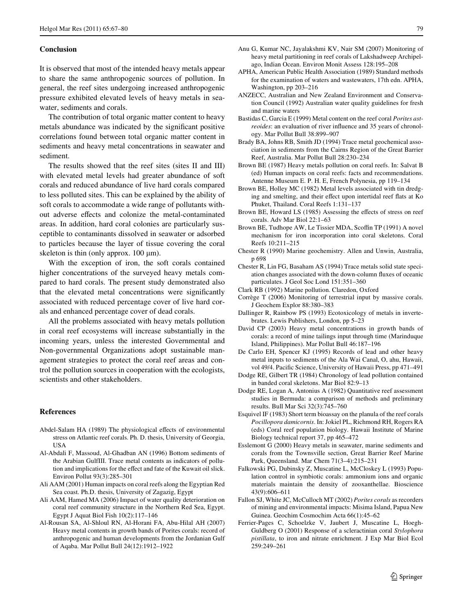## **Conclusion**

It is observed that most of the intended heavy metals appear to share the same anthropogenic sources of pollution. In general, the reef sites undergoing increased anthropogenic pressure exhibited elevated levels of heavy metals in seawater, sediments and corals.

The contribution of total organic matter content to heavy metals abundance was indicated by the significant positive correlations found between total organic matter content in sediments and heavy metal concentrations in seawater and sediment.

The results showed that the reef sites (sites II and III) with elevated metal levels had greater abundance of soft corals and reduced abundance of live hard corals compared to less polluted sites. This can be explained by the ability of soft corals to accommodate a wide range of pollutants without adverse effects and colonize the metal-contaminated areas. In addition, hard coral colonies are particularly susceptible to contaminants dissolved in seawater or adsorbed to particles because the layer of tissue covering the coral skeleton is thin (only approx.  $100 \mu m$ ).

With the exception of iron, the soft corals contained higher concentrations of the surveyed heavy metals compared to hard corals. The present study demonstrated also that the elevated metal concentrations were significantly associated with reduced percentage cover of live hard corals and enhanced percentage cover of dead corals.

All the problems associated with heavy metals pollution in coral reef ecosystems will increase substantially in the incoming years, unless the interested Governmental and Non-governmental Organizations adopt sustainable management strategies to protect the coral reef areas and control the pollution sources in cooperation with the ecologists, scientists and other stakeholders.

## **References**

- <span id="page-12-3"></span>Abdel-Salam HA (1989) The physiological effects of environmental stress on Atlantic reef corals. Ph. D. thesis, University of Georgia, USA
- <span id="page-12-15"></span>Al-Abdali F, Massoud, Al-Ghadban AN (1996) Bottom sediments of the Arabian GulfIII. Trace metal contents as indicators of pollution and implications for the effect and fate of the Kuwait oil slick. Environ Pollut 93(3):285–301
- <span id="page-12-16"></span>Ali AAM (2001) Human impacts on coral reefs along the Egyptian Red Sea coast. Ph.D. thesis, University of Zagazig, Egypt
- <span id="page-12-24"></span>Ali AAM, Hamed MA (2006) Impact of water quality deterioration on coral reef community structure in the Northern Red Sea, Egypt. Egypt J Aquat Biol Fish 10(2):117–146
- <span id="page-12-9"></span>Al-Rousan SA, Al-Shloul RN, Al-Horani FA, Abu-Hilal AH (2007) Heavy metal contents in growth bands of Porites corals: record of anthropogenic and human developments from the Jordanian Gulf of Aqaba. Mar Pollut Bull 24(12):1912–1922
- <span id="page-12-10"></span>Anu G, Kumar NC, Jayalakshmi KV, Nair SM (2007) Monitoring of heavy metal partitioning in reef corals of Lakshadweep Archipelago, Indian Ocean. Environ Monit Assess 128:195–208
- <span id="page-12-12"></span>APHA, American Public Health Association (1989) Standard methods for the examination of waters and wastewaters, 17th edn. APHA, Washington, pp 203–216
- <span id="page-12-18"></span>ANZECC, Australian and New Zealand Environment and Conservation Council (1992) Australian water quality guidelines for fresh and marine waters
- <span id="page-12-8"></span>Bastidas C, Garcia E (1999) Metal content on the reef coral *Porites astreoides*: an evaluation of river influence and 35 years of chronology. Mar Pollut Bull 38:899–907
- <span id="page-12-25"></span>Brady BA, Johns RB, Smith JD (1994) Trace metal geochemical association in sediments from the Cairns Region of the Great Barrier Reef, Australia. Mar Pollut Bull 28:230–234
- <span id="page-12-4"></span>Brown BE (1987) Heavy metals pollution on coral reefs. In: Salvat B (ed) Human impacts on coral reefs: facts and recommendations. Antenne Museum E. P. H. E, French Polynesia, pp 119–134
- <span id="page-12-11"></span>Brown BE, Holley MC (1982) Metal levels associated with tin dredging and smelting, and their effect upon intertidal reef flats at Ko Phuket, Thailand. Coral Reefs 1:131–137
- <span id="page-12-23"></span>Brown BE, Howard LS (1985) Assessing the effects of stress on reef corals. Adv Mar Biol 22:1–63
- <span id="page-12-27"></span>Brown BE, Tudhope AW, Le Tissier MDA, Scoffin TP (1991) A novel mechanism for iron incorporation into coral skeletons. Coral Reefs 10:211–215
- <span id="page-12-21"></span>Chester R (1990) Marine geochemistry. Allen and Unwin, Australia, p 698
- <span id="page-12-13"></span>Chester R, Lin FG, Basaham AS (1994) Trace metals solid state speciation changes associated with the down-column fluxes of oceanic particulates. J Geol Soc Lond 151:351–360
- <span id="page-12-19"></span>Clark RB (1992) Marine pollution. Claredon, Oxford
- <span id="page-12-6"></span>Corrège T (2006) Monitoring of terrestrial input by massive corals. J Geochem Explor 88:380–383
- <span id="page-12-22"></span>Dallinger R, Rainbow PS (1993) Ecotoxicology of metals in invertebrates. Lewis Publishers, London, pp 5–23
- <span id="page-12-26"></span>David CP (2003) Heavy metal concentrations in growth bands of corals: a record of mine tailings input through time (Marinduque Island, Philippines). Mar Pollut Bull 46:187–196
- <span id="page-12-20"></span>De Carlo EH, Spencer KJ (1995) Records of lead and other heavy metal inputs to sediments of the Ala Wai Canal, O, ahu, Hawaii, vol 49/4. Pacific Science, University of Hawaii Press, pp 471-491
- <span id="page-12-7"></span>Dodge RE, Gilbert TR (1984) Chronology of lead pollution contained in banded coral skeletons. Mar Biol 82:9–13
- <span id="page-12-14"></span>Dodge RE, Logan A, Antonius A (1982) Quantitative reef assessment studies in Bermuda: a comparison of methods and preliminary results. Bull Mar Sci 32(3):745–760
- <span id="page-12-0"></span>Esquivel IF (1983) Short term bioassay on the planula of the reef corals *Pocillopora damicornis*. In: Jokiel PL, Richmond RH, Rogers RA (eds) Coral reef population biology. Hawaii Institute of Marine Biology technical report 37, pp 465–472
- <span id="page-12-17"></span>Esslemont G (2000) Heavy metals in seawater, marine sediments and corals from the Townsville section, Great Barrier Reef Marine Park, Queensland. Mar Chem 71(3–4):215–231
- <span id="page-12-1"></span>Falkowski PG, Dubinsky Z, Muscatine L, McCloskey L (1993) Population control in symbiotic corals: ammonium ions and organic materials maintain the density of zooxanthellae. Bioscience 43(9):606–611
- <span id="page-12-5"></span>Fallon SJ, White JC, McCulloch MT (2002) *Porites corals* as recorders of mining and environmental impacts: Misima Island, Papua New Guinea. Geochim Cosmochim Acta 66(1):45–62
- <span id="page-12-2"></span>Ferrier-Pages C, Schoelzke V, Jaubert J, Muscatine L, Hoegh-Guldberg O (2001) Response of a scleractinian coral *Stylophora pistillata*, to iron and nitrate enrichment. J Exp Mar Biol Ecol 259:249–261